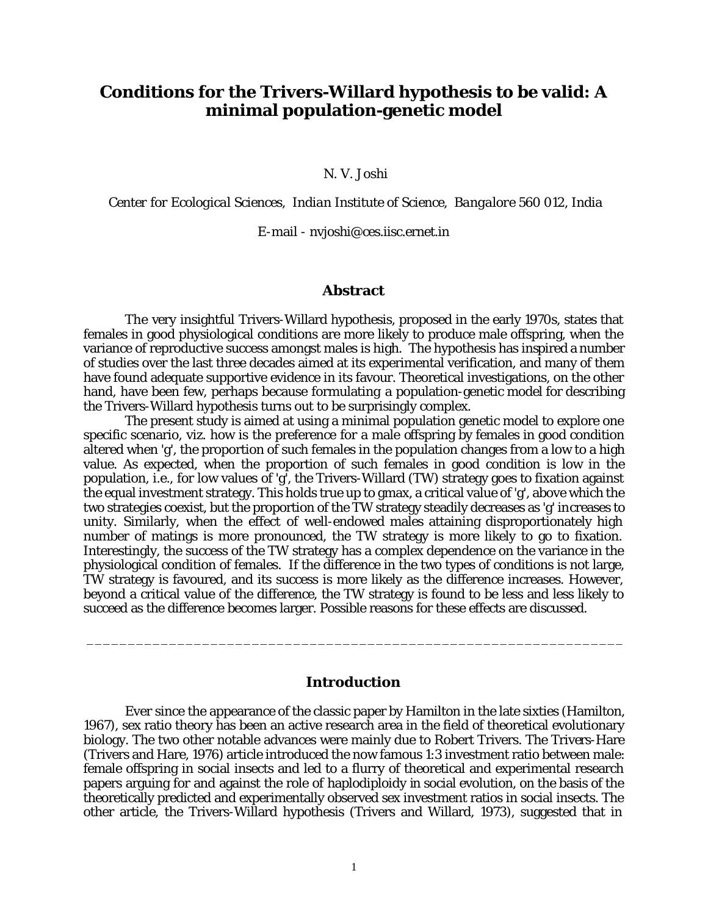# **Conditions for the Trivers-Willard hypothesis to be valid: A minimal population-genetic model**

N. V. Joshi

*Center for Ecological Sciences, Indian Institute of Science, Bangalore 560 012, India*

E-mail - nvjoshi@ces.iisc.ernet.in

#### **Abstract**

The very insightful Trivers-Willard hypothesis, proposed in the early 1970s, states that females in good physiological conditions are more likely to produce male offspring, when the variance of reproductive success amongst males is high. The hypothesis has inspired a number of studies over the last three decades aimed at its experimental verification, and many of them have found adequate supportive evidence in its favour. Theoretical investigations, on the other hand, have been few, perhaps because formulating a population-genetic model for describing the Trivers-Willard hypothesis turns out to be surprisingly complex.

The present study is aimed at using a minimal population genetic model to explore one specific scenario, viz. how is the preference for a male offspring by females in good condition altered when 'g', the proportion of such females in the population changes from a low to a high value. As expected, when the proportion of such females in good condition is low in the population, i.e., for low values of 'g', the Trivers-Willard (TW) strategy goes to fixation against the equal investment strategy. This holds true up to gmax, a critical value of 'g', above which the two strategies coexist, but the proportion of the TW strategy steadily decreases as 'g' increases to unity. Similarly, when the effect of well-endowed males attaining disproportionately high number of matings is more pronounced, the TW strategy is more likely to go to fixation. Interestingly, the success of the TW strategy has a complex dependence on the variance in the physiological condition of females. If the difference in the two types of conditions is not large, TW strategy is favoured, and its success is more likely as the difference increases. However, beyond a critical value of the difference, the TW strategy is found to be less and less likely to succeed as the difference becomes larger. Possible reasons for these effects are discussed.

## **Introduction**

\_\_\_\_\_\_\_\_\_\_\_\_\_\_\_\_\_\_\_\_\_\_\_\_\_\_\_\_\_\_\_\_\_\_\_\_\_\_\_\_\_\_\_\_\_\_\_\_\_\_\_\_\_\_\_\_\_\_\_\_\_\_\_\_\_

Ever since the appearance of the classic paper by Hamilton in the late sixties (Hamilton, 1967), sex ratio theory has been an active research area in the field of theoretical evolutionary biology. The two other notable advances were mainly due to Robert Trivers. The Trivers-Hare (Trivers and Hare, 1976) article introduced the now famous 1:3 investment ratio between male: female offspring in social insects and led to a flurry of theoretical and experimental research papers arguing for and against the role of haplodiploidy in social evolution, on the basis of the theoretically predicted and experimentally observed sex investment ratios in social insects. The other article, the Trivers-Willard hypothesis (Trivers and Willard, 1973), suggested that in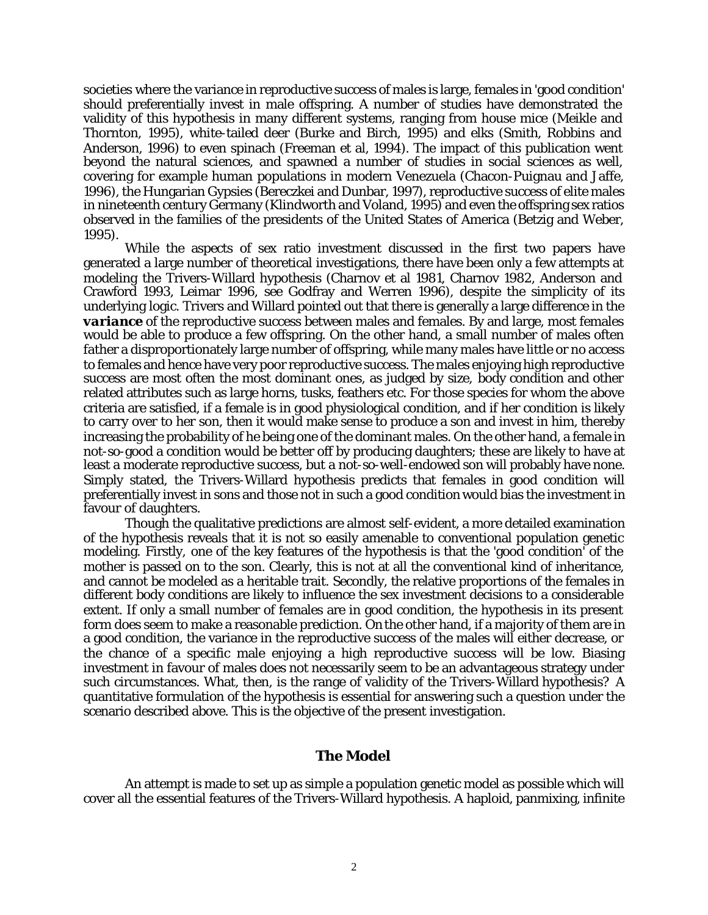societies where the variance in reproductive success of males is large, females in 'good condition' should preferentially invest in male offspring. A number of studies have demonstrated the validity of this hypothesis in many different systems, ranging from house mice (Meikle and Thornton, 1995), white-tailed deer (Burke and Birch, 1995) and elks (Smith, Robbins and Anderson, 1996) to even spinach (Freeman et al, 1994). The impact of this publication went beyond the natural sciences, and spawned a number of studies in social sciences as well, covering for example human populations in modern Venezuela (Chacon-Puignau and Jaffe, 1996), the Hungarian Gypsies (Bereczkei and Dunbar, 1997), reproductive success of elite males in nineteenth century Germany (Klindworth and Voland, 1995) and even the offspring sex ratios observed in the families of the presidents of the United States of America (Betzig and Weber, 1995).

While the aspects of sex ratio investment discussed in the first two papers have generated a large number of theoretical investigations, there have been only a few attempts at modeling the Trivers-Willard hypothesis (Charnov et al 1981, Charnov 1982, Anderson and Crawford 1993, Leimar 1996, see Godfray and Werren 1996), despite the simplicity of its underlying logic. Trivers and Willard pointed out that there is generally a large difference in the **variance** of the reproductive success between males and females. By and large, most females would be able to produce a few offspring. On the other hand, a small number of males often father a disproportionately large number of offspring, while many males have little or no access to females and hence have very poor reproductive success. The males enjoying high reproductive success are most often the most dominant ones, as judged by size, body condition and other related attributes such as large horns, tusks, feathers etc. For those species for whom the above criteria are satisfied, if a female is in good physiological condition, and if her condition is likely to carry over to her son, then it would make sense to produce a son and invest in him, thereby increasing the probability of he being one of the dominant males. On the other hand, a female in not-so-good a condition would be better off by producing daughters; these are likely to have at least a moderate reproductive success, but a not-so-well-endowed son will probably have none. Simply stated, the Trivers-Willard hypothesis predicts that females in good condition will preferentially invest in sons and those not in such a good condition would bias the investment in favour of daughters.

Though the qualitative predictions are almost self-evident, a more detailed examination of the hypothesis reveals that it is not so easily amenable to conventional population genetic modeling. Firstly, one of the key features of the hypothesis is that the 'good condition' of the mother is passed on to the son. Clearly, this is not at all the conventional kind of inheritance, and cannot be modeled as a heritable trait. Secondly, the relative proportions of the females in different body conditions are likely to influence the sex investment decisions to a considerable extent. If only a small number of females are in good condition, the hypothesis in its present form does seem to make a reasonable prediction. On the other hand, if a majority of them are in a good condition, the variance in the reproductive success of the males will either decrease, or the chance of a specific male enjoying a high reproductive success will be low. Biasing investment in favour of males does not necessarily seem to be an advantageous strategy under such circumstances. What, then, is the range of validity of the Trivers-Willard hypothesis? A quantitative formulation of the hypothesis is essential for answering such a question under the scenario described above. This is the objective of the present investigation.

## **The Model**

An attempt is made to set up as simple a population genetic model as possible which will cover all the essential features of the Trivers-Willard hypothesis. A haploid, panmixing, infinite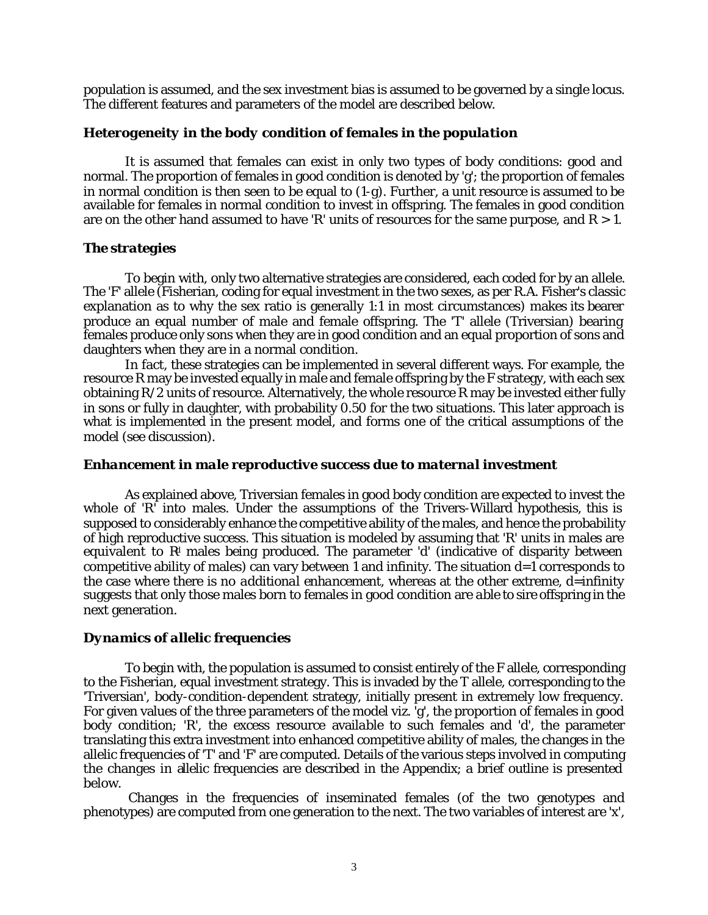population is assumed, and the sex investment bias is assumed to be governed by a single locus. The different features and parameters of the model are described below.

## *Heterogeneity in the body condition of females in the population*

It is assumed that females can exist in only two types of body conditions: good and normal. The proportion of females in good condition is denoted by 'g'; the proportion of females in normal condition is then seen to be equal to (1-g). Further, a unit resource is assumed to be available for females in normal condition to invest in offspring. The females in good condition are on the other hand assumed to have 'R' units of resources for the same purpose, and  $R > 1$ .

## *The strategies*

To begin with, only two alternative strategies are considered, each coded for by an allele. The 'F' allele (Fisherian, coding for equal investment in the two sexes, as per R.A. Fisher's classic explanation as to why the sex ratio is generally 1:1 in most circumstances) makes its bearer produce an equal number of male and female offspring. The 'T' allele (Triversian) bearing females produce only sons when they are in good condition and an equal proportion of sons and daughters when they are in a normal condition.

In fact, these strategies can be implemented in several different ways. For example, the resource R may be invested equally in male and female offspring by the F strategy, with each sex obtaining R/2 units of resource. Alternatively, the whole resource R may be invested either fully in sons or fully in daughter, with probability 0.50 for the two situations. This later approach is what is implemented in the present model, and forms one of the critical assumptions of the model (see discussion).

#### *Enhancement in male reproductive success due to maternal investment*

As explained above, Triversian females in good body condition are expected to invest the whole of 'R<sup>'</sup> into males. Under the assumptions of the Trivers-Willard hypothesis, this is supposed to considerably enhance the competitive ability of the males, and hence the probability of high reproductive success. This situation is modeled by assuming that 'R' units in males are equivalent to  $\mathbb{R}^l$  males being produced. The parameter 'd' (indicative of disparity between competitive ability of males) can vary between 1 and infinity. The situation  $d=1$  corresponds to the case where there is no *additional enhancement*, whereas at the other extreme, d=infinity suggests that only those males born to females in good condition are able to sire offspring in the next generation.

## *Dynamics of allelic frequencies*

To begin with, the population is assumed to consist entirely of the F allele, corresponding to the Fisherian, equal investment strategy. This is invaded by the T allele, corresponding to the 'Triversian', body-condition-dependent strategy, initially present in extremely low frequency. For given values of the three parameters of the model viz. 'g', the proportion of females in good body condition; 'R', the excess resource available to such females and 'd', the parameter translating this extra investment into enhanced competitive ability of males, the changes in the allelic frequencies of 'T' and 'F' are computed. Details of the various steps involved in computing the changes in allelic frequencies are described in the Appendix; a brief outline is presented below.

 Changes in the frequencies of inseminated females (of the two genotypes and phenotypes) are computed from one generation to the next. The two variables of interest are 'x',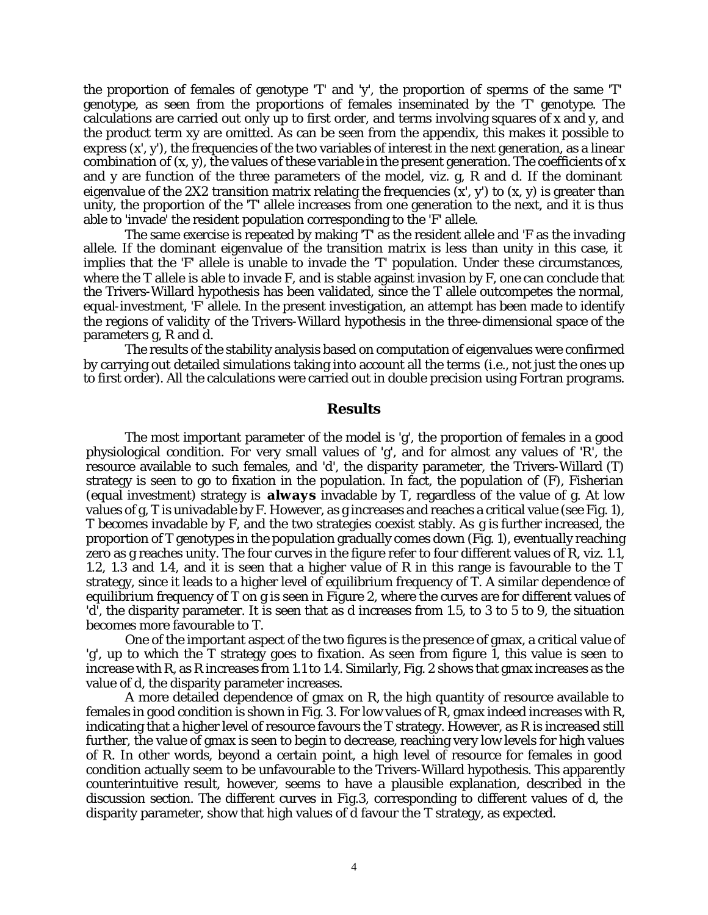the proportion of females of genotype 'T' and 'y', the proportion of sperms of the same 'T' genotype, as seen from the proportions of females inseminated by the 'T' genotype. The calculations are carried out only up to first order, and terms involving squares of x and y, and the product term xy are omitted. As can be seen from the appendix, this makes it possible to express  $(x', y')$ , the frequencies of the two variables of interest in the next generation, as a linear combination of  $(x, y)$ , the values of these variable in the present generation. The coefficients of x and y are function of the three parameters of the model, viz. g, R and d. If the dominant eigenvalue of the 2X2 transition matrix relating the frequencies  $(x', y')$  to  $(x, y)$  is greater than unity, the proportion of the 'T' allele increases from one generation to the next, and it is thus able to 'invade' the resident population corresponding to the 'F' allele.

The same exercise is repeated by making 'T' as the resident allele and 'F as the invading allele. If the dominant eigenvalue of the transition matrix is less than unity in this case, it implies that the 'F' allele is unable to invade the 'T' population. Under these circumstances, where the T allele is able to invade F, and is stable against invasion by F, one can conclude that the Trivers-Willard hypothesis has been validated, since the T allele outcompetes the normal, equal-investment, 'F' allele. In the present investigation, an attempt has been made to identify the regions of validity of the Trivers-Willard hypothesis in the three-dimensional space of the parameters g, R and d.

The results of the stability analysis based on computation of eigenvalues were confirmed by carrying out detailed simulations taking into account all the terms (i.e., not just the ones up to first order). All the calculations were carried out in double precision using Fortran programs.

## **Results**

The most important parameter of the model is 'g', the proportion of females in a good physiological condition. For very small values of 'g', and for almost any values of 'R', the resource available to such females, and 'd', the disparity parameter, the Trivers-Willard (T) strategy is seen to go to fixation in the population. In fact, the population of (F), Fisherian (equal investment) strategy is *always* invadable by T, regardless of the value of g. At low values of g, T is univadable by F. However, as g increases and reaches a critical value (see Fig. 1), T becomes invadable by F, and the two strategies coexist stably. As g is further increased, the proportion of T genotypes in the population gradually comes down (Fig. 1), eventually reaching zero as g reaches unity. The four curves in the figure refer to four different values of R, viz. 1.1, 1.2, 1.3 and 1.4, and it is seen that a higher value of R in this range is favourable to the T strategy, since it leads to a higher level of equilibrium frequency of T. A similar dependence of equilibrium frequency of T on g is seen in Figure 2, where the curves are for different values of 'd', the disparity parameter. It is seen that as d increases from 1.5, to 3 to 5 to 9, the situation becomes more favourable to T.

One of the important aspect of the two figures is the presence of gmax, a critical value of  $g'$ , up to which the T strategy goes to fixation. As seen from figure 1, this value is seen to increase with R, as R increases from 1.1 to 1.4. Similarly, Fig. 2 shows that gmax increases as the value of d, the disparity parameter increases.

A more detailed dependence of gmax on R, the high quantity of resource available to females in good condition is shown in Fig. 3. For low values of R, gmax indeed increases with R, indicating that a higher level of resource favours the T strategy. However, as R is increased still further, the value of gmax is seen to begin to decrease, reaching very low levels for high values of R. In other words, beyond a certain point, a high level of resource for females in good condition actually seem to be unfavourable to the Trivers-Willard hypothesis. This apparently counterintuitive result, however, seems to have a plausible explanation, described in the discussion section. The different curves in Fig.3, corresponding to different values of d, the disparity parameter, show that high values of d favour the T strategy, as expected.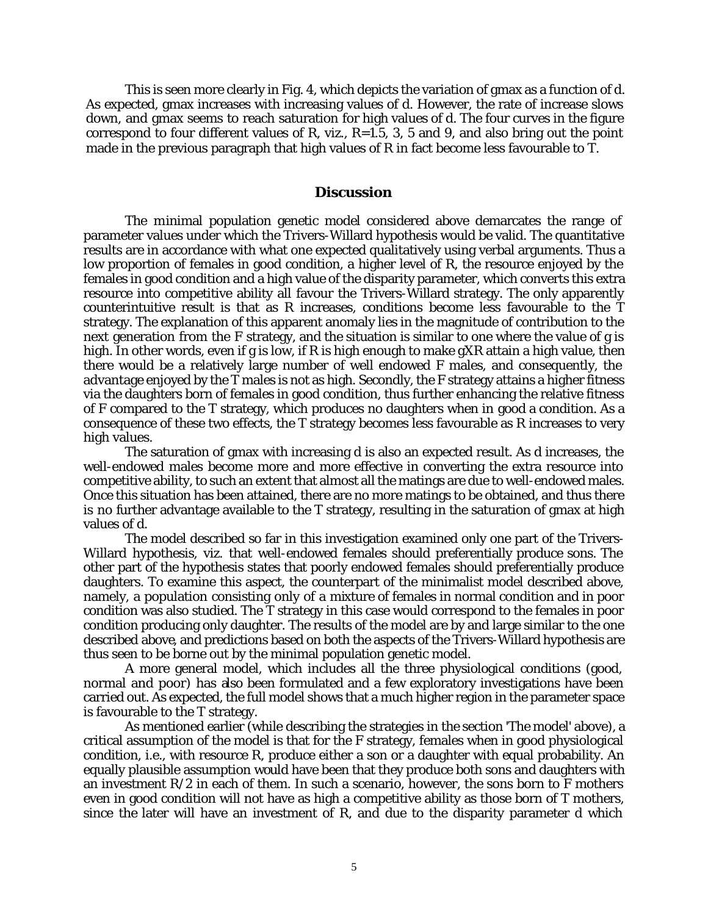This is seen more clearly in Fig. 4, which depicts the variation of gmax as a function of d. As expected, gmax increases with increasing values of d. However, the rate of increase slows down, and gmax seems to reach saturation for high values of d. The four curves in the figure correspond to four different values of R, viz.,  $R=1.5$ , 3, 5 and 9, and also bring out the point made in the previous paragraph that high values of R in fact become less favourable to T.

#### **Discussion**

The minimal population genetic model considered above demarcates the range of parameter values under which the Trivers-Willard hypothesis would be valid. The quantitative results are in accordance with what one expected qualitatively using verbal arguments. Thus a low proportion of females in good condition, a higher level of R, the resource enjoyed by the females in good condition and a high value of the disparity parameter, which converts this extra resource into competitive ability all favour the Trivers-Willard strategy. The only apparently counterintuitive result is that as R increases, conditions become less favourable to the T strategy. The explanation of this apparent anomaly lies in the magnitude of contribution to the next generation from the F strategy, and the situation is similar to one where the value of g is high. In other words, even if g is low, if R is high enough to make gXR attain a high value, then there would be a relatively large number of well endowed F males, and consequently, the advantage enjoyed by the T males is not as high. Secondly, the F strategy attains a higher fitness via the daughters born of females in good condition, thus further enhancing the relative fitness of F compared to the T strategy, which produces no daughters when in good a condition. As a consequence of these two effects, the T strategy becomes less favourable as R increases to very high values.

The saturation of gmax with increasing d is also an expected result. As d increases, the well-endowed males become more and more effective in converting the extra resource into competitive ability, to such an extent that almost all the matings are due to well-endowed males. Once this situation has been attained, there are no more matings to be obtained, and thus there is no further advantage available to the T strategy, resulting in the saturation of gmax at high values of d.

The model described so far in this investigation examined only one part of the Trivers-Willard hypothesis, viz. that well-endowed females should preferentially produce sons. The other part of the hypothesis states that poorly endowed females should preferentially produce daughters. To examine this aspect, the counterpart of the minimalist model described above, namely, a population consisting only of a mixture of females in normal condition and in poor condition was also studied. The T strategy in this case would correspond to the females in poor condition producing only daughter. The results of the model are by and large similar to the one described above, and predictions based on both the aspects of the Trivers-Willard hypothesis are thus seen to be borne out by the minimal population genetic model.

A more general model, which includes all the three physiological conditions (good, normal and poor) has also been formulated and a few exploratory investigations have been carried out. As expected, the full model shows that a much higher region in the parameter space is favourable to the T strategy.

As mentioned earlier (while describing the strategies in the section 'The model' above), a critical assumption of the model is that for the F strategy, females when in good physiological condition, i.e., with resource R, produce either a son or a daughter with equal probability. An equally plausible assumption would have been that they produce both sons and daughters with an investment  $R/2$  in each of them. In such a scenario, however, the sons born to F mothers even in good condition will not have as high a competitive ability as those born of T mothers, since the later will have an investment of R, and due to the disparity parameter d which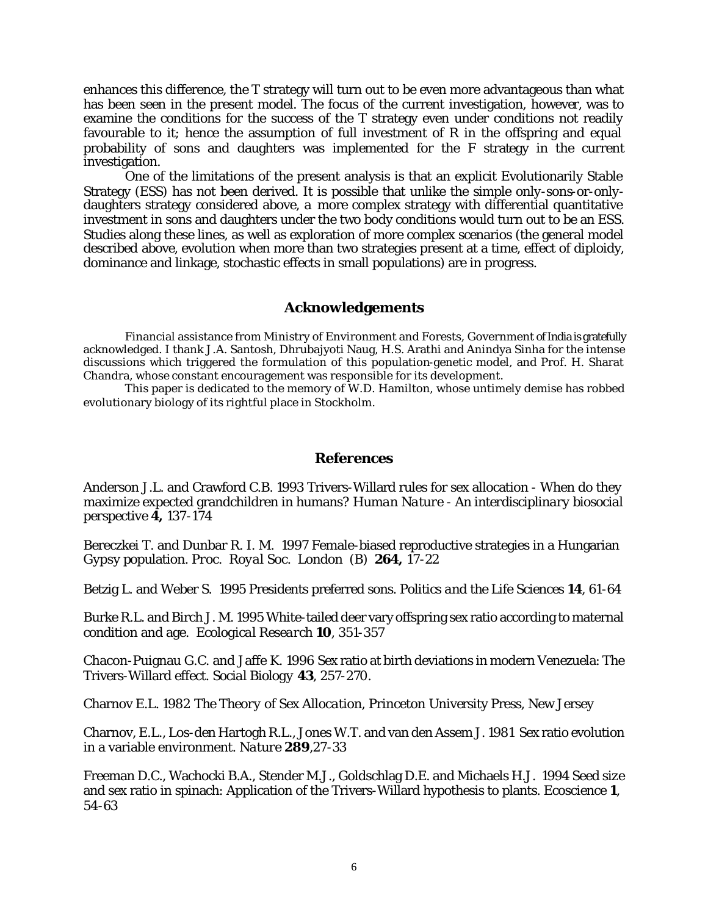enhances this difference, the T strategy will turn out to be even more advantageous than what has been seen in the present model. The focus of the current investigation, however, was to examine the conditions for the success of the T strategy even under conditions not readily favourable to it; hence the assumption of full investment of R in the offspring and equal probability of sons and daughters was implemented for the F strategy in the current investigation.

One of the limitations of the present analysis is that an explicit Evolutionarily Stable Strategy (ESS) has not been derived. It is possible that unlike the simple only-sons-or-onlydaughters strategy considered above, a more complex strategy with differential quantitative investment in sons and daughters under the two body conditions would turn out to be an ESS. Studies along these lines, as well as exploration of more complex scenarios (the general model described above, evolution when more than two strategies present at a time, effect of diploidy, dominance and linkage, stochastic effects in small populations) are in progress.

## **Acknowledgements**

Financial assistance from Ministry of Environment and Forests, Government of India is gratefully acknowledged. I thank J.A. Santosh, Dhrubajyoti Naug, H.S. Arathi and Anindya Sinha for the intense discussions which triggered the formulation of this population-genetic model, and Prof. H. Sharat Chandra, whose constant encouragement was responsible for its development.

This paper is dedicated to the memory of W.D. Hamilton, whose untimely demise has robbed evolutionary biology of its rightful place in Stockholm.

## **References**

Anderson J.L. and Crawford C.B. 1993 Trivers-Willard rules for sex allocation - When do they maximize expected grandchildren in humans? *Human Nature - An interdisciplinary biosocial perspective* **4,** 137-174

Bereczkei T. and Dunbar R. I. M. 1997 Female-biased reproductive strategies in a Hungarian Gypsy population. *Proc. Royal Soc. London (B)* **264,** 17-22

Betzig L. and Weber S. 1995 Presidents preferred sons. *Politics and the Life Sciences* **14**, 61-64

Burke R.L. and Birch J. M. 1995 White-tailed deer vary offspring sex ratio according to maternal condition and age. *Ecological Research* **10**, 351-357

Chacon-Puignau G.C. and Jaffe K. 1996 Sex ratio at birth deviations in modern Venezuela: The Trivers-Willard effect. *Social Biology* **43**, 257-270.

Charnov E.L. 1982 *The Theory of Sex Allocation*, Princeton University Press, New Jersey

Charnov, E.L., Los-den Hartogh R.L., Jones W.T. and van den Assem J. 1981 Sex ratio evolution in a variable environment. *Nature* **289**,27-33

Freeman D.C., Wachocki B.A., Stender M.J., Goldschlag D.E. and Michaels H.J. 1994 Seed size and sex ratio in spinach: Application of the Trivers-Willard hypothesis to plants. *Ecoscience* **1**, 54-63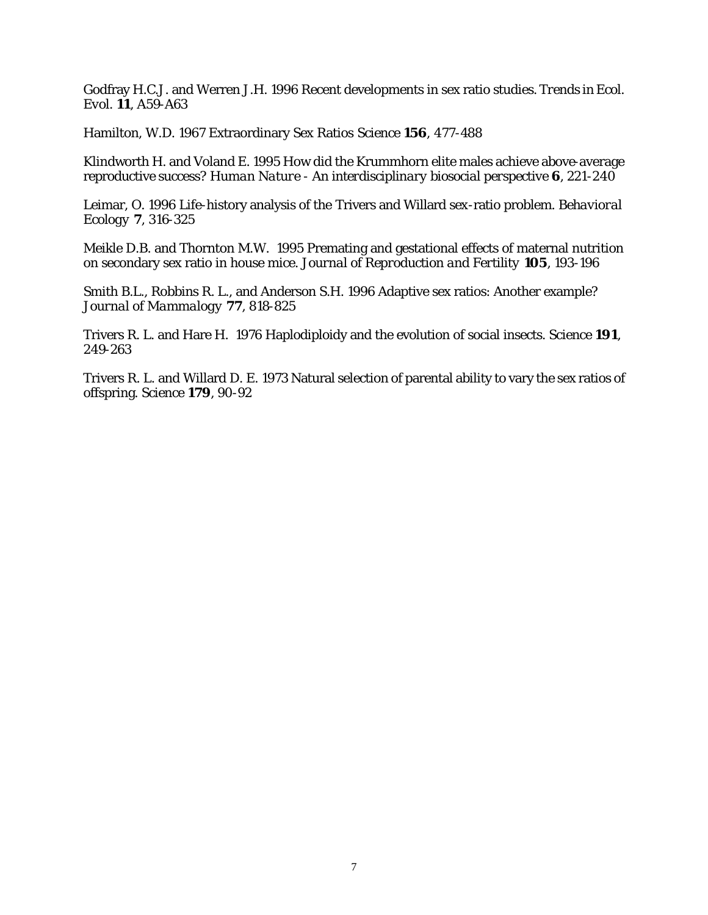Godfray H.C.J. and Werren J.H. 1996 Recent developments in sex ratio studies. *Trends in Ecol. Evol*. **11**, A59-A63

Hamilton, W.D. 1967 Extraordinary Sex Ratios *Science* **156**, 477-488

Klindworth H. and Voland E. 1995 How did the Krummhorn elite males achieve above-average reproductive success? *Human Nature - An interdisciplinary biosocial perspective* **6**, 221-240

Leimar, O. 1996 Life-history analysis of the Trivers and Willard sex-ratio problem. *Behavioral Ecology* **7**, 316-325

Meikle D.B. and Thornton M.W. 1995 Premating and gestational effects of maternal nutrition on secondary sex ratio in house mice. *Journal of Reproduction and Fertility* **105**, 193-196

Smith B.L., Robbins R. L., and Anderson S.H. 1996 Adaptive sex ratios: Another example? *Journal of Mammalogy* **77**, 818-825

Trivers R. L. and Hare H. 1976 Haplodiploidy and the evolution of social insects. *Science* **191**, 249-263

Trivers R. L. and Willard D. E. 1973 Natural selection of parental ability to vary the sex ratios of offspring. *Science* **179**, 90-92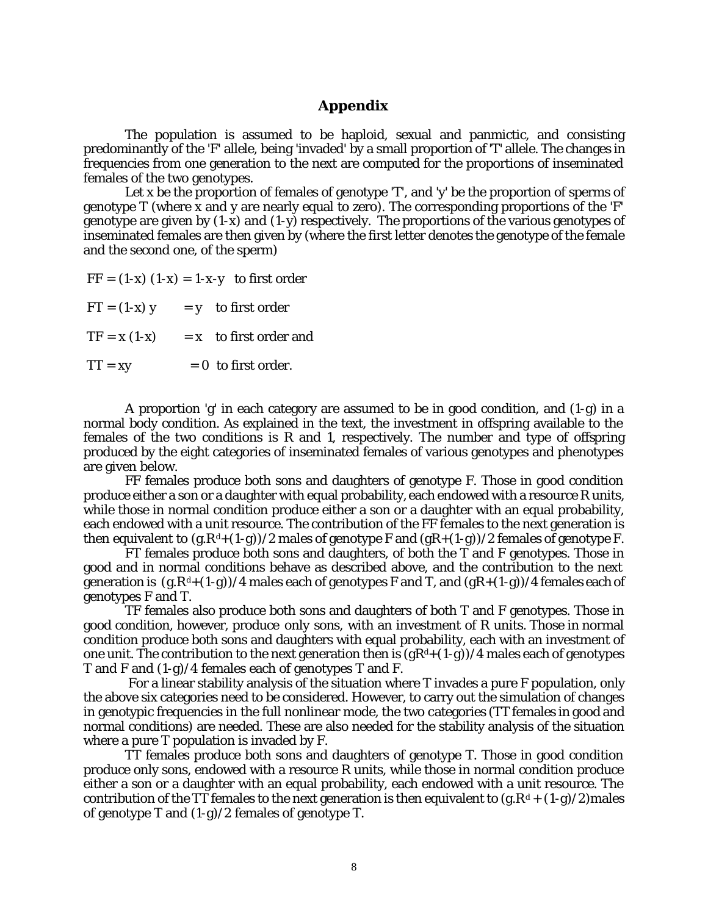## **Appendix**

The population is assumed to be haploid, sexual and panmictic, and consisting predominantly of the 'F' allele, being 'invaded' by a small proportion of 'T' allele. The changes in frequencies from one generation to the next are computed for the proportions of inseminated females of the two genotypes.

Let x be the proportion of females of genotype 'T', and 'y' be the proportion of sperms of genotype T (where x and y are nearly equal to zero). The corresponding proportions of the 'F' genotype are given by  $(1-x)$  and  $(1-y)$  respectively. The proportions of the various genotypes of inseminated females are then given by (where the first letter denotes the genotype of the female and the second one, of the sperm)

 $FF = (1-x) (1-x) = 1-x-y$  to first order

 $FT = (1-x)$  y = y to first order

 $TF = x (1-x) = x$  to first order and

 $TT = xy = 0$  to first order.

A proportion 'g' in each category are assumed to be in good condition, and (1-g) in a normal body condition. As explained in the text, the investment in offspring available to the females of the two conditions is R and 1, respectively. The number and type of offspring produced by the eight categories of inseminated females of various genotypes and phenotypes are given below.

FF females produce both sons and daughters of genotype F. Those in good condition produce either a son or a daughter with equal probability, each endowed with a resource R units, while those in normal condition produce either a son or a daughter with an equal probability, each endowed with a unit resource. The contribution of the FF females to the next generation is then equivalent to  $(g.R^d+(1-g))/2$  males of genotype F and  $(gR+(1-g))/2$  females of genotype F.

FT females produce both sons and daughters, of both the T and F genotypes. Those in good and in normal conditions behave as described above, and the contribution to the next generation is  $(g \cdot R^d + (1-g))/4$  males each of genotypes F and T, and  $(gR + (1-g))/4$  females each of genotypes F and T.

TF females also produce both sons and daughters of both T and F genotypes. Those in good condition, however, produce *only sons,* with an investment of R units. Those in normal condition produce both sons and daughters with equal probability, each with an investment of one unit. The contribution to the next generation then is  $(gR<sup>d</sup>+(1-g))/4$  males each of genotypes T and F and (1-g)/4 females each of genotypes T and F.

 For a linear stability analysis of the situation where T invades a pure F population, only the above six categories need to be considered. However, to carry out the simulation of changes in genotypic frequencies in the full nonlinear mode, the two categories (TT females in good and normal conditions) are needed. These are also needed for the stability analysis of the situation where a pure T population is invaded by F.

TT females produce both sons and daughters of genotype T. Those in good condition produce only sons, endowed with a resource R units, while those in normal condition produce either a son or a daughter with an equal probability, each endowed with a unit resource. The contribution of the TT females to the next generation is then equivalent to  $(g.R<sup>d</sup> + (1-g)/2)$  males of genotype T and (1-g)/2 females of genotype T.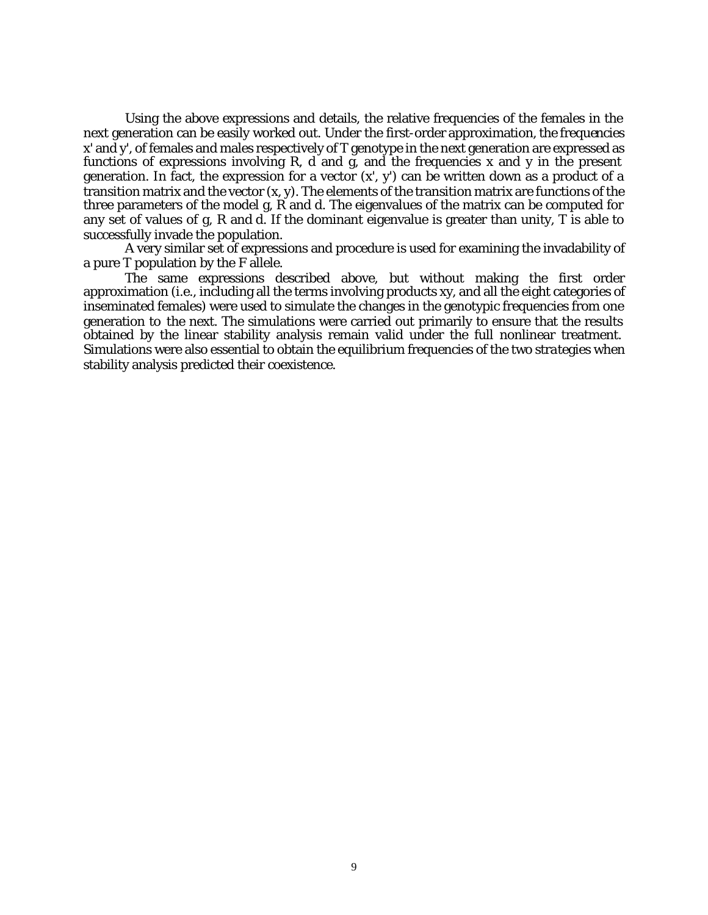Using the above expressions and details, the relative frequencies of the females in the next generation can be easily worked out. Under the first-order approximation, the frequencies x' and y', of females and males respectively of T genotype in the next generation are expressed as functions of expressions involving R, d and g, and the frequencies x and y in the present generation. In fact, the expression for a vector  $(x, y)$  can be written down as a product of a transition matrix and the vector (x, y). The elements of the transition matrix are functions of the three parameters of the model g, R and d. The eigenvalues of the matrix can be computed for any set of values of g, R and d. If the dominant eigenvalue is greater than unity, T is able to successfully invade the population.

A very similar set of expressions and procedure is used for examining the invadability of a pure T population by the F allele.

The same expressions described above, but without making the first order approximation (i.e., including all the terms involving products xy, and all the eight categories of inseminated females) were used to simulate the changes in the genotypic frequencies from one generation to the next. The simulations were carried out primarily to ensure that the results obtained by the linear stability analysis remain valid under the full nonlinear treatment. Simulations were also essential to obtain the equilibrium frequencies of the two strategies when stability analysis predicted their coexistence.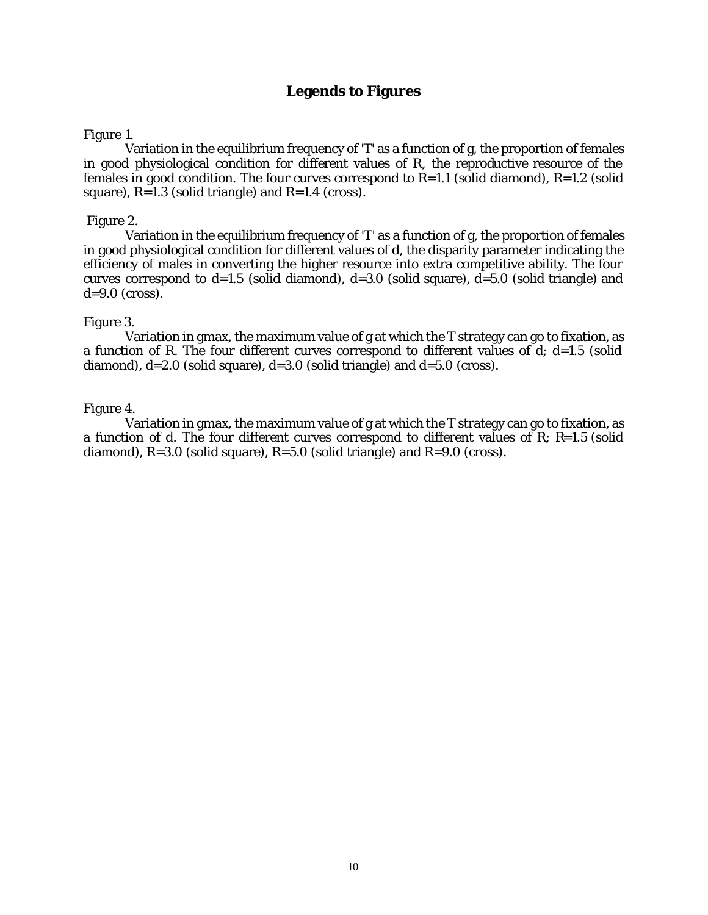## **Legends to Figures**

## Figure 1.

Variation in the equilibrium frequency of 'T' as a function of g, the proportion of females in good physiological condition for different values of R, the reproductive resource of the females in good condition. The four curves correspond to  $R=1.1$  (solid diamond),  $R=1.2$  (solid square),  $R=1.3$  (solid triangle) and  $R=1.4$  (cross).

## Figure 2.

Variation in the equilibrium frequency of 'T' as a function of g, the proportion of females in good physiological condition for different values of d, the disparity parameter indicating the efficiency of males in converting the higher resource into extra competitive ability. The four curves correspond to  $d=1.5$  (solid diamond),  $d=3.0$  (solid square),  $d=5.0$  (solid triangle) and  $d=9.0$  (cross).

## Figure 3.

Variation in gmax, the maximum value of g at which the T strategy can go to fixation, as a function of R. The four different curves correspond to different values of d; d=1.5 (solid diamond),  $d=2.0$  (solid square),  $d=3.0$  (solid triangle) and  $d=5.0$  (cross).

## Figure 4.

Variation in gmax, the maximum value of g at which the T strategy can go to fixation, as a function of d. The four different curves correspond to different values of R; R=1.5 (solid diamond),  $R=3.0$  (solid square),  $R=5.0$  (solid triangle) and  $R=9.0$  (cross).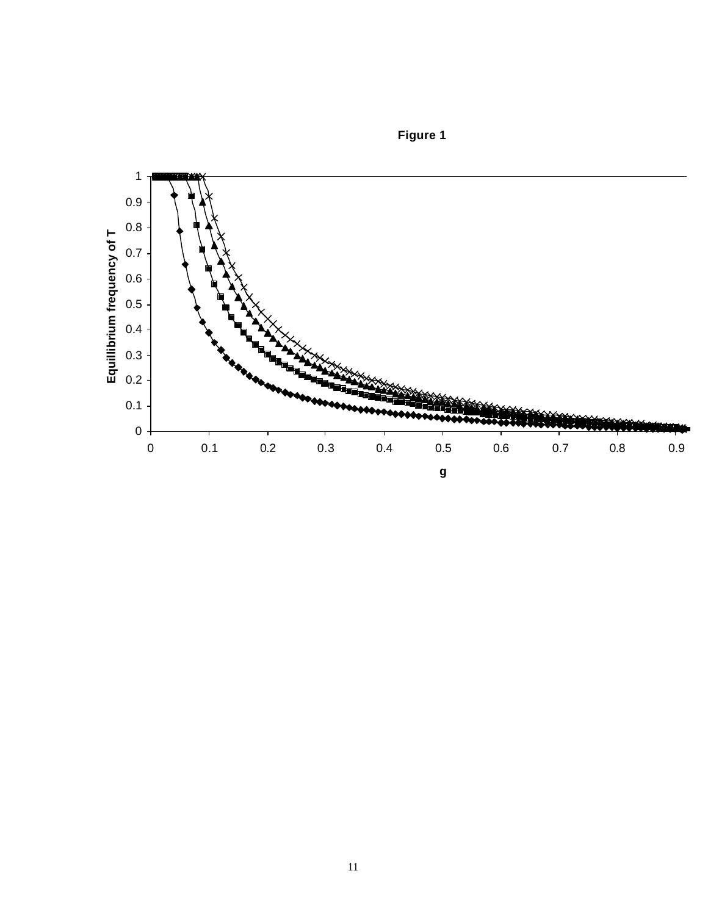

**Figure 1**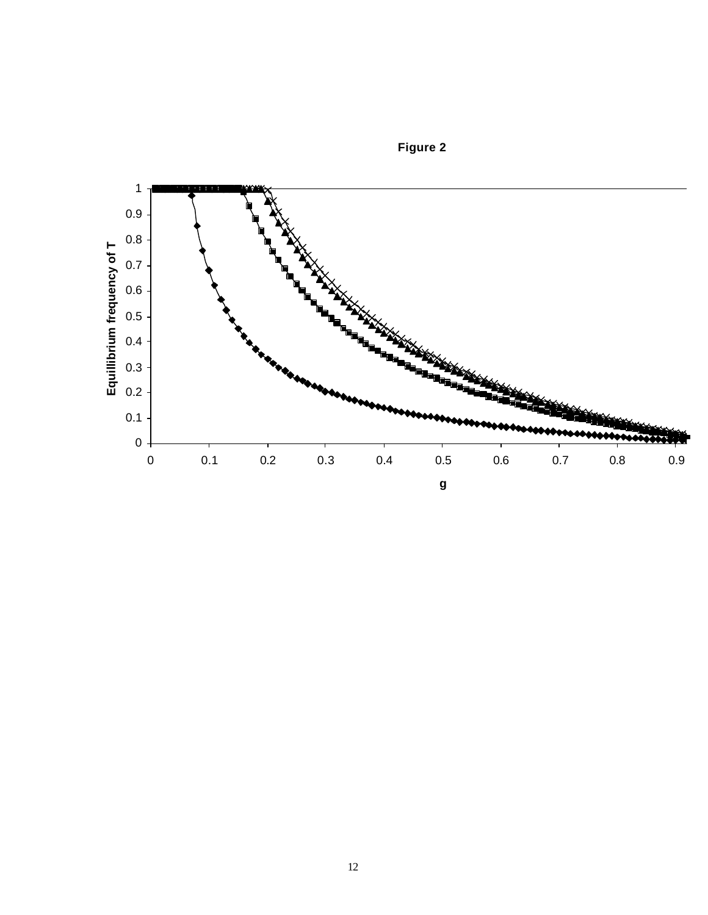

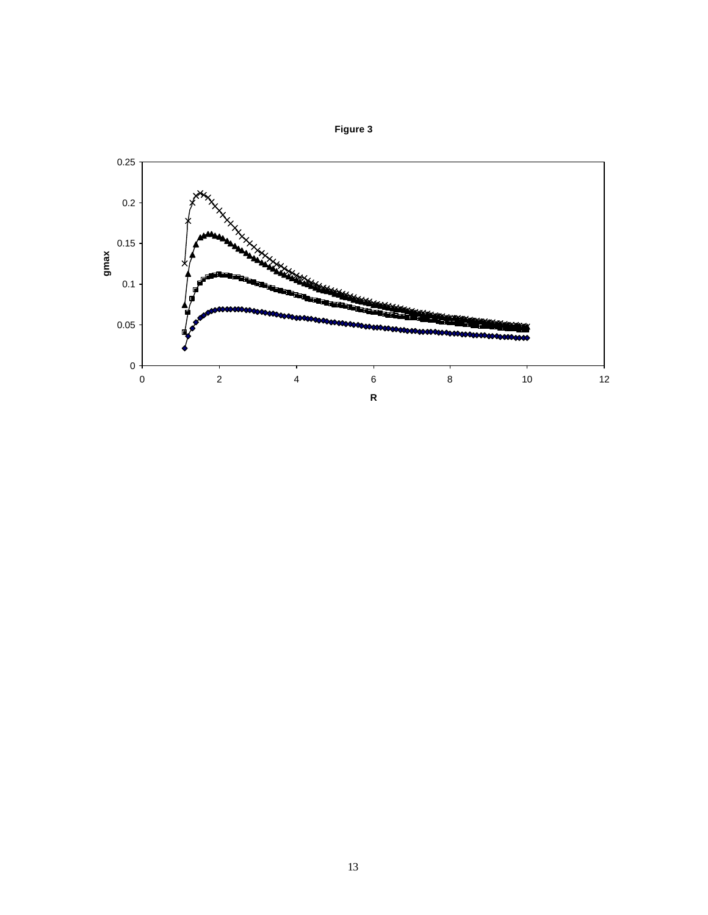